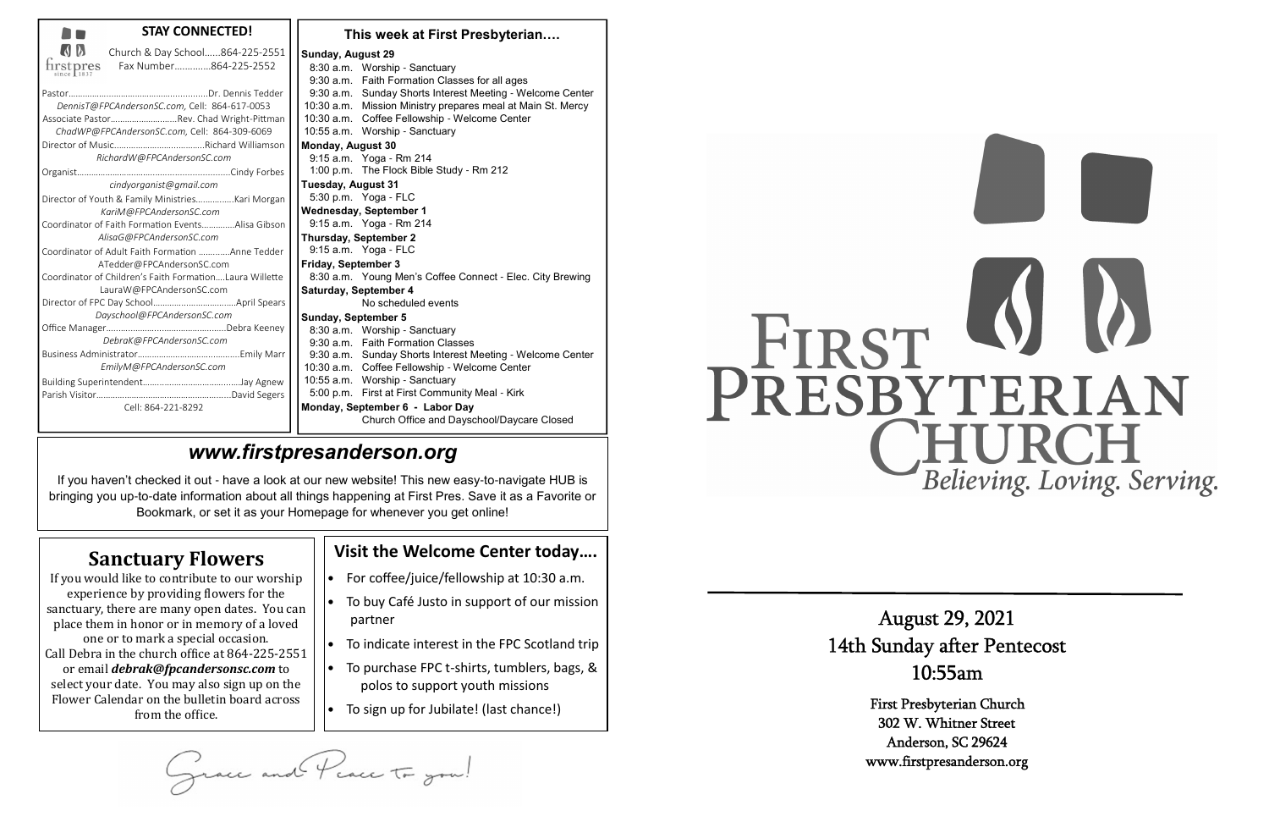| <b>STAY CONNECTED!</b>                                                                                                                                                                                                                                                                                                                                                                                                                                                                                                                                                                                                                                                                                                                                                                 | This week at First Presbyterian                                                                                                                                                                                                                                                                                                                                                                                                                                                                                                                                                                                                                                                                                                                                                                                                                                                                                                                                                  |
|----------------------------------------------------------------------------------------------------------------------------------------------------------------------------------------------------------------------------------------------------------------------------------------------------------------------------------------------------------------------------------------------------------------------------------------------------------------------------------------------------------------------------------------------------------------------------------------------------------------------------------------------------------------------------------------------------------------------------------------------------------------------------------------|----------------------------------------------------------------------------------------------------------------------------------------------------------------------------------------------------------------------------------------------------------------------------------------------------------------------------------------------------------------------------------------------------------------------------------------------------------------------------------------------------------------------------------------------------------------------------------------------------------------------------------------------------------------------------------------------------------------------------------------------------------------------------------------------------------------------------------------------------------------------------------------------------------------------------------------------------------------------------------|
| $\overline{Q}$<br>Church & Day School864-225-2551<br>$\operatorname*{first}_{\text{since}} \operatorname*{pres}_{1837}$<br>Fax Number864-225-2552<br>DennisT@FPCAndersonSC.com, Cell: 864-617-0053<br>Associate PastorRev. Chad Wright-Pittman<br>ChadWP@FPCAndersonSC.com, Cell: 864-309-6069<br>RichardW@FPCAndersonSC.com<br>cindyorganist@gmail.com<br>Director of Youth & Family MinistriesKari Morgan<br>KariM@FPCAndersonSC.com<br>Coordinator of Faith Formation EventsAlisa Gibson<br>AlisaG@FPCAndersonSC.com<br>Coordinator of Adult Faith Formation Anne Tedder<br>ATedder@FPCAndersonSC.com<br>Coordinator of Children's Faith FormationLaura Willette<br>LauraW@FPCAndersonSC.com<br>Dayschool@FPCAndersonSC.com<br>DebraK@FPCAndersonSC.com<br>EmilyM@FPCAndersonSC.com | Sunday, August 29<br>8:30 a.m. Worship - Sanctuary<br>9:30 a.m. Faith Formation Classes for all ages<br>9:30 a.m. Sunday Shorts Interest Meeting - Welcome Center<br>10:30 a.m. Mission Ministry prepares meal at Main St. Mercy<br>10:30 a.m. Coffee Fellowship - Welcome Center<br>10:55 a.m. Worship - Sanctuary<br><b>Monday, August 30</b><br>9:15 a.m. Yoga - Rm 214<br>1:00 p.m. The Flock Bible Study - Rm 212<br><b>Tuesday, August 31</b><br>5:30 p.m. Yoga - FLC<br><b>Wednesday, September 1</b><br>9:15 a.m. Yoga - Rm 214<br>Thursday, September 2<br>9:15 a.m. Yoga - FLC<br><b>Friday, September 3</b><br>8:30 a.m. Young Men's Coffee Connect - Elec. City Brewing<br>Saturday, September 4<br>No scheduled events<br>Sunday, September 5<br>8:30 a.m. Worship - Sanctuary<br>9:30 a.m. Faith Formation Classes<br>9:30 a.m. Sunday Shorts Interest Meeting - Welcome Center<br>10:30 a.m. Coffee Fellowship - Welcome Center<br>10:55 a.m. Worship - Sanctuary |
| Cell: 864-221-8292                                                                                                                                                                                                                                                                                                                                                                                                                                                                                                                                                                                                                                                                                                                                                                     | 5:00 p.m. First at First Community Meal - Kirk<br>Monday, September 6 - Labor Day<br>Church Office and Dayschool/Daycare Closed                                                                                                                                                                                                                                                                                                                                                                                                                                                                                                                                                                                                                                                                                                                                                                                                                                                  |

- For coffee/juice/fellowship at 10:30 a.m.
- To buy Café Justo in support of our mission partner
- To indicate interest in the FPC Scotland trip
- To purchase FPC t-shirts, tumblers, bags, & polos to support youth missions
- $\bullet$  To sign up for Jubilate! (last chance!)

August 29, 2021<br>14th Sunday after Pentecost<br>10:55am

First Presbyterian Church<br>302 W. Whitner Street<br>Anderson, SC 29624<br>www.firstpresanderson.org

grace and Peace To you!

# FIRST WWW Believing. Loving. Serving.

# *www.firstpresanderson.org*

 If you haven't checked it out - have a look at our new website! This new easy-to-navigate HUB is bringing you up-to-date information about all things happening at First Pres. Save it as a Favorite or Bookmark, or set it as your Homepage for whenever you get online!

# **Sanctuary Flowers**

If you would like to contribute to our worship experience by providing flowers for the sanctuary, there are many open dates. You can place them in honor or in memory of a loved one or to mark a special occasion. Call Debra in the church ofice at 864-225-2551 or email *debrak@fpcandersonsc.com* to select your date. You may also sign up on the Flower Calendar on the bulletin board across from the ofice.

## **Visit the Welcome Center today….**